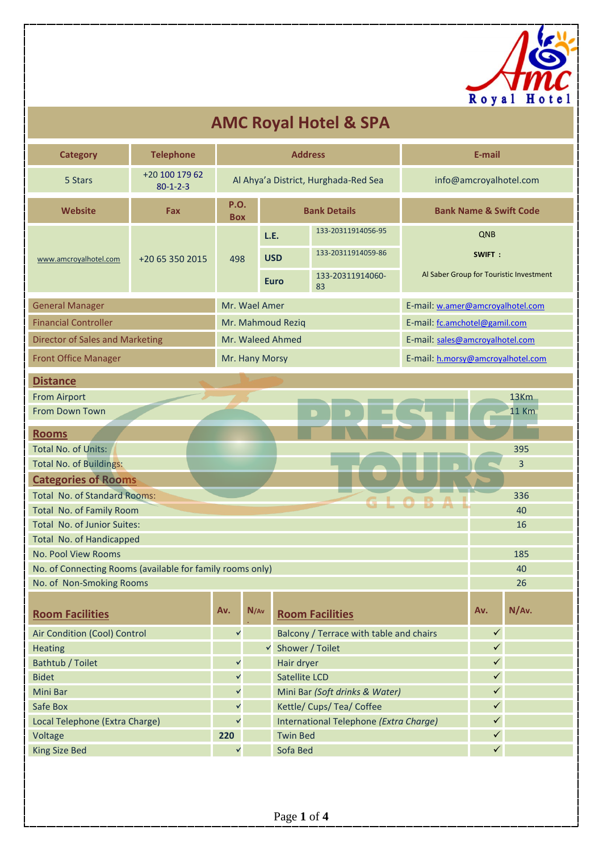

## **AMC Royal Hotel & SPA**

| <b>Category</b>                                           | <b>Telephone</b>                   |                           |                   | <b>Address</b>       |                                         |                                   | E-mail       |                                         |  |  |
|-----------------------------------------------------------|------------------------------------|---------------------------|-------------------|----------------------|-----------------------------------------|-----------------------------------|--------------|-----------------------------------------|--|--|
| 5 Stars                                                   | +20 100 179 62<br>$80 - 1 - 2 - 3$ |                           |                   |                      | Al Ahya'a District, Hurghada-Red Sea    | info@amcroyalhotel.com            |              |                                         |  |  |
| <b>Website</b>                                            | Fax                                | <b>P.O.</b><br><b>Box</b> |                   |                      | <b>Bank Details</b>                     | <b>Bank Name &amp; Swift Code</b> |              |                                         |  |  |
|                                                           |                                    |                           | L.E.              |                      | 133-20311914056-95                      |                                   | QNB          |                                         |  |  |
| www.amcroyalhotel.com                                     | +20 65 350 2015                    | 498                       | <b>USD</b>        |                      | 133-20311914059-86                      |                                   | SWIFT:       |                                         |  |  |
|                                                           |                                    |                           | <b>Euro</b>       |                      | 133-20311914060-                        |                                   |              | Al Saber Group for Touristic Investment |  |  |
|                                                           |                                    |                           |                   |                      | 83                                      |                                   |              |                                         |  |  |
| <b>General Manager</b>                                    |                                    |                           | Mr. Wael Amer     |                      |                                         | E-mail: w.amer@amcroyalhotel.com  |              |                                         |  |  |
| <b>Financial Controller</b>                               |                                    |                           | Mr. Mahmoud Reziq |                      |                                         | E-mail: fc.amchotel@gamil.com     |              |                                         |  |  |
| <b>Director of Sales and Marketing</b>                    |                                    |                           | Mr. Waleed Ahmed  |                      |                                         | E-mail: sales@amcroyalhotel.com   |              |                                         |  |  |
| <b>Front Office Manager</b>                               |                                    |                           | Mr. Hany Morsy    |                      |                                         | E-mail: h.morsy@amcroyalhotel.com |              |                                         |  |  |
| <b>Distance</b>                                           |                                    |                           |                   |                      |                                         |                                   |              |                                         |  |  |
| <b>From Airport</b>                                       |                                    |                           |                   |                      | 13Km                                    |                                   |              |                                         |  |  |
| From Down Town                                            |                                    |                           |                   |                      |                                         |                                   |              | <b>11 Km</b>                            |  |  |
| <b>Rooms</b>                                              |                                    |                           |                   |                      |                                         |                                   |              |                                         |  |  |
| Total No. of Units:                                       |                                    |                           |                   |                      |                                         |                                   |              | 395                                     |  |  |
| <b>Total No. of Buildings:</b>                            |                                    |                           |                   |                      |                                         |                                   |              | 3                                       |  |  |
| <b>Categories of Rooms</b>                                |                                    |                           |                   |                      |                                         |                                   |              |                                         |  |  |
| <b>Total No. of Standard Rooms:</b>                       |                                    |                           |                   |                      |                                         |                                   |              | 336                                     |  |  |
| Total No. of Family Room                                  |                                    |                           |                   |                      |                                         |                                   |              | 40                                      |  |  |
| Total No. of Junior Suites:                               |                                    |                           |                   |                      |                                         |                                   |              | 16                                      |  |  |
| Total No. of Handicapped                                  |                                    |                           |                   |                      |                                         |                                   |              |                                         |  |  |
| No. Pool View Rooms                                       |                                    |                           |                   |                      |                                         |                                   |              | 185                                     |  |  |
| No. of Connecting Rooms (available for family rooms only) |                                    |                           |                   |                      |                                         |                                   |              | 40                                      |  |  |
| No. of Non-Smoking Rooms                                  |                                    |                           |                   |                      |                                         |                                   |              | 26                                      |  |  |
| <b>Room Facilities</b>                                    |                                    | Av.                       | N/Av              |                      | <b>Room Facilities</b>                  |                                   | Av.          | N/Av.                                   |  |  |
| Air Condition (Cool) Control                              |                                    | ٧                         |                   |                      | Balcony / Terrace with table and chairs |                                   | $\checkmark$ |                                         |  |  |
| Heating                                                   |                                    |                           | $\checkmark$      | Shower / Toilet      |                                         |                                   | $\checkmark$ |                                         |  |  |
| Bathtub / Toilet                                          |                                    | ٧                         |                   | Hair dryer           |                                         |                                   | $\checkmark$ |                                         |  |  |
| <b>Bidet</b>                                              |                                    | ٧                         |                   | <b>Satellite LCD</b> |                                         |                                   | ✓            |                                         |  |  |
| Mini Bar                                                  |                                    | ٧                         |                   |                      | Mini Bar (Soft drinks & Water)          |                                   | $\checkmark$ |                                         |  |  |
| Safe Box                                                  |                                    | ٧                         |                   |                      | Kettle/ Cups/ Tea/ Coffee               |                                   | $\checkmark$ |                                         |  |  |
| Local Telephone (Extra Charge)                            |                                    | $\checkmark$              |                   |                      | International Telephone (Extra Charge)  |                                   | $\checkmark$ |                                         |  |  |
| Voltage                                                   |                                    | 220                       |                   | <b>Twin Bed</b>      |                                         |                                   | $\checkmark$ |                                         |  |  |
| <b>King Size Bed</b>                                      |                                    | Y                         |                   | Sofa Bed             |                                         |                                   | $\checkmark$ |                                         |  |  |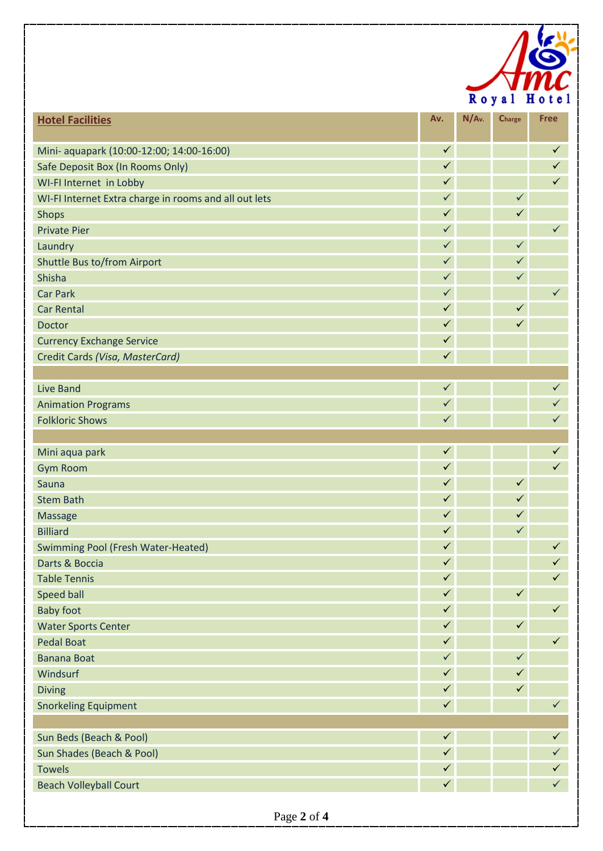

| $\checkmark$<br>$\checkmark$<br>Mini- aquapark (10:00-12:00; 14:00-16:00)<br>$\checkmark$<br>$\checkmark$<br>Safe Deposit Box (In Rooms Only)<br>$\checkmark$<br>WI-FI Internet in Lobby<br>$\checkmark$<br>$\checkmark$<br>$\checkmark$<br>WI-FI Internet Extra charge in rooms and all out lets<br>$\checkmark$<br>$\checkmark$<br><b>Shops</b><br>$\checkmark$<br>$\checkmark$<br><b>Private Pier</b><br>$\checkmark$<br>$\checkmark$<br>Laundry<br>$\checkmark$<br>$\checkmark$<br>Shuttle Bus to/from Airport<br>$\checkmark$<br>$\checkmark$<br>Shisha<br>$\checkmark$<br>$\checkmark$<br><b>Car Park</b><br>$\checkmark$<br>$\checkmark$<br><b>Car Rental</b><br>$\checkmark$<br>$\checkmark$<br>Doctor<br>$\checkmark$<br><b>Currency Exchange Service</b><br>$\checkmark$<br>Credit Cards (Visa, MasterCard)<br>$\checkmark$<br>$\checkmark$<br><b>Live Band</b><br>$\checkmark$<br>$\checkmark$<br><b>Animation Programs</b><br>$\checkmark$<br>$\checkmark$<br><b>Folkloric Shows</b><br>$\checkmark$<br>$\checkmark$<br>Mini aqua park<br>$\checkmark$<br>$\checkmark$<br><b>Gym Room</b><br>$\checkmark$<br>$\checkmark$<br>Sauna<br>$\checkmark$<br>$\checkmark$<br><b>Stem Bath</b><br>$\checkmark$<br>$\checkmark$<br>Massage<br>$\checkmark$<br>$\checkmark$<br><b>Billiard</b><br>$\checkmark$<br>$\checkmark$<br><b>Swimming Pool (Fresh Water-Heated)</b><br>$\checkmark$<br>$\checkmark$<br>Darts & Boccia<br>$\checkmark$<br>$\checkmark$<br><b>Table Tennis</b><br>$\checkmark$<br>Speed ball<br>$\checkmark$<br>$\checkmark$<br>$\checkmark$<br><b>Baby foot</b><br>$\checkmark$<br><b>Water Sports Center</b><br>$\checkmark$<br>$\checkmark$<br>$\checkmark$<br><b>Pedal Boat</b><br>$\checkmark$<br>$\checkmark$<br><b>Banana Boat</b><br>$\checkmark$<br>Windsurf<br>$\checkmark$<br>$\checkmark$<br>$\checkmark$<br><b>Diving</b><br>$\checkmark$<br>$\checkmark$<br><b>Snorkeling Equipment</b><br>$\checkmark$<br>Sun Beds (Beach & Pool)<br>$\checkmark$<br>$\checkmark$<br>$\checkmark$<br>Sun Shades (Beach & Pool)<br>$\checkmark$<br>$\checkmark$<br><b>Towels</b><br>$\checkmark$<br>$\checkmark$<br><b>Beach Volleyball Court</b> | <b>Hotel Facilities</b> | Av. | $N/Av$ . | Charge | <b>Free</b> |
|-------------------------------------------------------------------------------------------------------------------------------------------------------------------------------------------------------------------------------------------------------------------------------------------------------------------------------------------------------------------------------------------------------------------------------------------------------------------------------------------------------------------------------------------------------------------------------------------------------------------------------------------------------------------------------------------------------------------------------------------------------------------------------------------------------------------------------------------------------------------------------------------------------------------------------------------------------------------------------------------------------------------------------------------------------------------------------------------------------------------------------------------------------------------------------------------------------------------------------------------------------------------------------------------------------------------------------------------------------------------------------------------------------------------------------------------------------------------------------------------------------------------------------------------------------------------------------------------------------------------------------------------------------------------------------------------------------------------------------------------------------------------------------------------------------------------------------------------------------------------------------------------------------------------------------------------------------------------------------------------------------------------------------------------------------------------------------------------------------------------------------------------------------------------------|-------------------------|-----|----------|--------|-------------|
|                                                                                                                                                                                                                                                                                                                                                                                                                                                                                                                                                                                                                                                                                                                                                                                                                                                                                                                                                                                                                                                                                                                                                                                                                                                                                                                                                                                                                                                                                                                                                                                                                                                                                                                                                                                                                                                                                                                                                                                                                                                                                                                                                                         |                         |     |          |        |             |
|                                                                                                                                                                                                                                                                                                                                                                                                                                                                                                                                                                                                                                                                                                                                                                                                                                                                                                                                                                                                                                                                                                                                                                                                                                                                                                                                                                                                                                                                                                                                                                                                                                                                                                                                                                                                                                                                                                                                                                                                                                                                                                                                                                         |                         |     |          |        |             |
|                                                                                                                                                                                                                                                                                                                                                                                                                                                                                                                                                                                                                                                                                                                                                                                                                                                                                                                                                                                                                                                                                                                                                                                                                                                                                                                                                                                                                                                                                                                                                                                                                                                                                                                                                                                                                                                                                                                                                                                                                                                                                                                                                                         |                         |     |          |        |             |
|                                                                                                                                                                                                                                                                                                                                                                                                                                                                                                                                                                                                                                                                                                                                                                                                                                                                                                                                                                                                                                                                                                                                                                                                                                                                                                                                                                                                                                                                                                                                                                                                                                                                                                                                                                                                                                                                                                                                                                                                                                                                                                                                                                         |                         |     |          |        |             |
|                                                                                                                                                                                                                                                                                                                                                                                                                                                                                                                                                                                                                                                                                                                                                                                                                                                                                                                                                                                                                                                                                                                                                                                                                                                                                                                                                                                                                                                                                                                                                                                                                                                                                                                                                                                                                                                                                                                                                                                                                                                                                                                                                                         |                         |     |          |        |             |
|                                                                                                                                                                                                                                                                                                                                                                                                                                                                                                                                                                                                                                                                                                                                                                                                                                                                                                                                                                                                                                                                                                                                                                                                                                                                                                                                                                                                                                                                                                                                                                                                                                                                                                                                                                                                                                                                                                                                                                                                                                                                                                                                                                         |                         |     |          |        |             |
|                                                                                                                                                                                                                                                                                                                                                                                                                                                                                                                                                                                                                                                                                                                                                                                                                                                                                                                                                                                                                                                                                                                                                                                                                                                                                                                                                                                                                                                                                                                                                                                                                                                                                                                                                                                                                                                                                                                                                                                                                                                                                                                                                                         |                         |     |          |        |             |
|                                                                                                                                                                                                                                                                                                                                                                                                                                                                                                                                                                                                                                                                                                                                                                                                                                                                                                                                                                                                                                                                                                                                                                                                                                                                                                                                                                                                                                                                                                                                                                                                                                                                                                                                                                                                                                                                                                                                                                                                                                                                                                                                                                         |                         |     |          |        |             |
|                                                                                                                                                                                                                                                                                                                                                                                                                                                                                                                                                                                                                                                                                                                                                                                                                                                                                                                                                                                                                                                                                                                                                                                                                                                                                                                                                                                                                                                                                                                                                                                                                                                                                                                                                                                                                                                                                                                                                                                                                                                                                                                                                                         |                         |     |          |        |             |
|                                                                                                                                                                                                                                                                                                                                                                                                                                                                                                                                                                                                                                                                                                                                                                                                                                                                                                                                                                                                                                                                                                                                                                                                                                                                                                                                                                                                                                                                                                                                                                                                                                                                                                                                                                                                                                                                                                                                                                                                                                                                                                                                                                         |                         |     |          |        |             |
|                                                                                                                                                                                                                                                                                                                                                                                                                                                                                                                                                                                                                                                                                                                                                                                                                                                                                                                                                                                                                                                                                                                                                                                                                                                                                                                                                                                                                                                                                                                                                                                                                                                                                                                                                                                                                                                                                                                                                                                                                                                                                                                                                                         |                         |     |          |        |             |
|                                                                                                                                                                                                                                                                                                                                                                                                                                                                                                                                                                                                                                                                                                                                                                                                                                                                                                                                                                                                                                                                                                                                                                                                                                                                                                                                                                                                                                                                                                                                                                                                                                                                                                                                                                                                                                                                                                                                                                                                                                                                                                                                                                         |                         |     |          |        |             |
|                                                                                                                                                                                                                                                                                                                                                                                                                                                                                                                                                                                                                                                                                                                                                                                                                                                                                                                                                                                                                                                                                                                                                                                                                                                                                                                                                                                                                                                                                                                                                                                                                                                                                                                                                                                                                                                                                                                                                                                                                                                                                                                                                                         |                         |     |          |        |             |
|                                                                                                                                                                                                                                                                                                                                                                                                                                                                                                                                                                                                                                                                                                                                                                                                                                                                                                                                                                                                                                                                                                                                                                                                                                                                                                                                                                                                                                                                                                                                                                                                                                                                                                                                                                                                                                                                                                                                                                                                                                                                                                                                                                         |                         |     |          |        |             |
|                                                                                                                                                                                                                                                                                                                                                                                                                                                                                                                                                                                                                                                                                                                                                                                                                                                                                                                                                                                                                                                                                                                                                                                                                                                                                                                                                                                                                                                                                                                                                                                                                                                                                                                                                                                                                                                                                                                                                                                                                                                                                                                                                                         |                         |     |          |        |             |
|                                                                                                                                                                                                                                                                                                                                                                                                                                                                                                                                                                                                                                                                                                                                                                                                                                                                                                                                                                                                                                                                                                                                                                                                                                                                                                                                                                                                                                                                                                                                                                                                                                                                                                                                                                                                                                                                                                                                                                                                                                                                                                                                                                         |                         |     |          |        |             |
|                                                                                                                                                                                                                                                                                                                                                                                                                                                                                                                                                                                                                                                                                                                                                                                                                                                                                                                                                                                                                                                                                                                                                                                                                                                                                                                                                                                                                                                                                                                                                                                                                                                                                                                                                                                                                                                                                                                                                                                                                                                                                                                                                                         |                         |     |          |        |             |
|                                                                                                                                                                                                                                                                                                                                                                                                                                                                                                                                                                                                                                                                                                                                                                                                                                                                                                                                                                                                                                                                                                                                                                                                                                                                                                                                                                                                                                                                                                                                                                                                                                                                                                                                                                                                                                                                                                                                                                                                                                                                                                                                                                         |                         |     |          |        |             |
|                                                                                                                                                                                                                                                                                                                                                                                                                                                                                                                                                                                                                                                                                                                                                                                                                                                                                                                                                                                                                                                                                                                                                                                                                                                                                                                                                                                                                                                                                                                                                                                                                                                                                                                                                                                                                                                                                                                                                                                                                                                                                                                                                                         |                         |     |          |        |             |
|                                                                                                                                                                                                                                                                                                                                                                                                                                                                                                                                                                                                                                                                                                                                                                                                                                                                                                                                                                                                                                                                                                                                                                                                                                                                                                                                                                                                                                                                                                                                                                                                                                                                                                                                                                                                                                                                                                                                                                                                                                                                                                                                                                         |                         |     |          |        |             |
|                                                                                                                                                                                                                                                                                                                                                                                                                                                                                                                                                                                                                                                                                                                                                                                                                                                                                                                                                                                                                                                                                                                                                                                                                                                                                                                                                                                                                                                                                                                                                                                                                                                                                                                                                                                                                                                                                                                                                                                                                                                                                                                                                                         |                         |     |          |        |             |
|                                                                                                                                                                                                                                                                                                                                                                                                                                                                                                                                                                                                                                                                                                                                                                                                                                                                                                                                                                                                                                                                                                                                                                                                                                                                                                                                                                                                                                                                                                                                                                                                                                                                                                                                                                                                                                                                                                                                                                                                                                                                                                                                                                         |                         |     |          |        |             |
|                                                                                                                                                                                                                                                                                                                                                                                                                                                                                                                                                                                                                                                                                                                                                                                                                                                                                                                                                                                                                                                                                                                                                                                                                                                                                                                                                                                                                                                                                                                                                                                                                                                                                                                                                                                                                                                                                                                                                                                                                                                                                                                                                                         |                         |     |          |        |             |
|                                                                                                                                                                                                                                                                                                                                                                                                                                                                                                                                                                                                                                                                                                                                                                                                                                                                                                                                                                                                                                                                                                                                                                                                                                                                                                                                                                                                                                                                                                                                                                                                                                                                                                                                                                                                                                                                                                                                                                                                                                                                                                                                                                         |                         |     |          |        |             |
|                                                                                                                                                                                                                                                                                                                                                                                                                                                                                                                                                                                                                                                                                                                                                                                                                                                                                                                                                                                                                                                                                                                                                                                                                                                                                                                                                                                                                                                                                                                                                                                                                                                                                                                                                                                                                                                                                                                                                                                                                                                                                                                                                                         |                         |     |          |        |             |
|                                                                                                                                                                                                                                                                                                                                                                                                                                                                                                                                                                                                                                                                                                                                                                                                                                                                                                                                                                                                                                                                                                                                                                                                                                                                                                                                                                                                                                                                                                                                                                                                                                                                                                                                                                                                                                                                                                                                                                                                                                                                                                                                                                         |                         |     |          |        |             |
|                                                                                                                                                                                                                                                                                                                                                                                                                                                                                                                                                                                                                                                                                                                                                                                                                                                                                                                                                                                                                                                                                                                                                                                                                                                                                                                                                                                                                                                                                                                                                                                                                                                                                                                                                                                                                                                                                                                                                                                                                                                                                                                                                                         |                         |     |          |        |             |
|                                                                                                                                                                                                                                                                                                                                                                                                                                                                                                                                                                                                                                                                                                                                                                                                                                                                                                                                                                                                                                                                                                                                                                                                                                                                                                                                                                                                                                                                                                                                                                                                                                                                                                                                                                                                                                                                                                                                                                                                                                                                                                                                                                         |                         |     |          |        |             |
|                                                                                                                                                                                                                                                                                                                                                                                                                                                                                                                                                                                                                                                                                                                                                                                                                                                                                                                                                                                                                                                                                                                                                                                                                                                                                                                                                                                                                                                                                                                                                                                                                                                                                                                                                                                                                                                                                                                                                                                                                                                                                                                                                                         |                         |     |          |        |             |
|                                                                                                                                                                                                                                                                                                                                                                                                                                                                                                                                                                                                                                                                                                                                                                                                                                                                                                                                                                                                                                                                                                                                                                                                                                                                                                                                                                                                                                                                                                                                                                                                                                                                                                                                                                                                                                                                                                                                                                                                                                                                                                                                                                         |                         |     |          |        |             |
|                                                                                                                                                                                                                                                                                                                                                                                                                                                                                                                                                                                                                                                                                                                                                                                                                                                                                                                                                                                                                                                                                                                                                                                                                                                                                                                                                                                                                                                                                                                                                                                                                                                                                                                                                                                                                                                                                                                                                                                                                                                                                                                                                                         |                         |     |          |        |             |
|                                                                                                                                                                                                                                                                                                                                                                                                                                                                                                                                                                                                                                                                                                                                                                                                                                                                                                                                                                                                                                                                                                                                                                                                                                                                                                                                                                                                                                                                                                                                                                                                                                                                                                                                                                                                                                                                                                                                                                                                                                                                                                                                                                         |                         |     |          |        |             |
|                                                                                                                                                                                                                                                                                                                                                                                                                                                                                                                                                                                                                                                                                                                                                                                                                                                                                                                                                                                                                                                                                                                                                                                                                                                                                                                                                                                                                                                                                                                                                                                                                                                                                                                                                                                                                                                                                                                                                                                                                                                                                                                                                                         |                         |     |          |        |             |
|                                                                                                                                                                                                                                                                                                                                                                                                                                                                                                                                                                                                                                                                                                                                                                                                                                                                                                                                                                                                                                                                                                                                                                                                                                                                                                                                                                                                                                                                                                                                                                                                                                                                                                                                                                                                                                                                                                                                                                                                                                                                                                                                                                         |                         |     |          |        |             |
|                                                                                                                                                                                                                                                                                                                                                                                                                                                                                                                                                                                                                                                                                                                                                                                                                                                                                                                                                                                                                                                                                                                                                                                                                                                                                                                                                                                                                                                                                                                                                                                                                                                                                                                                                                                                                                                                                                                                                                                                                                                                                                                                                                         |                         |     |          |        |             |
|                                                                                                                                                                                                                                                                                                                                                                                                                                                                                                                                                                                                                                                                                                                                                                                                                                                                                                                                                                                                                                                                                                                                                                                                                                                                                                                                                                                                                                                                                                                                                                                                                                                                                                                                                                                                                                                                                                                                                                                                                                                                                                                                                                         |                         |     |          |        |             |
|                                                                                                                                                                                                                                                                                                                                                                                                                                                                                                                                                                                                                                                                                                                                                                                                                                                                                                                                                                                                                                                                                                                                                                                                                                                                                                                                                                                                                                                                                                                                                                                                                                                                                                                                                                                                                                                                                                                                                                                                                                                                                                                                                                         |                         |     |          |        |             |
|                                                                                                                                                                                                                                                                                                                                                                                                                                                                                                                                                                                                                                                                                                                                                                                                                                                                                                                                                                                                                                                                                                                                                                                                                                                                                                                                                                                                                                                                                                                                                                                                                                                                                                                                                                                                                                                                                                                                                                                                                                                                                                                                                                         |                         |     |          |        |             |
|                                                                                                                                                                                                                                                                                                                                                                                                                                                                                                                                                                                                                                                                                                                                                                                                                                                                                                                                                                                                                                                                                                                                                                                                                                                                                                                                                                                                                                                                                                                                                                                                                                                                                                                                                                                                                                                                                                                                                                                                                                                                                                                                                                         |                         |     |          |        |             |
|                                                                                                                                                                                                                                                                                                                                                                                                                                                                                                                                                                                                                                                                                                                                                                                                                                                                                                                                                                                                                                                                                                                                                                                                                                                                                                                                                                                                                                                                                                                                                                                                                                                                                                                                                                                                                                                                                                                                                                                                                                                                                                                                                                         |                         |     |          |        |             |
|                                                                                                                                                                                                                                                                                                                                                                                                                                                                                                                                                                                                                                                                                                                                                                                                                                                                                                                                                                                                                                                                                                                                                                                                                                                                                                                                                                                                                                                                                                                                                                                                                                                                                                                                                                                                                                                                                                                                                                                                                                                                                                                                                                         |                         |     |          |        |             |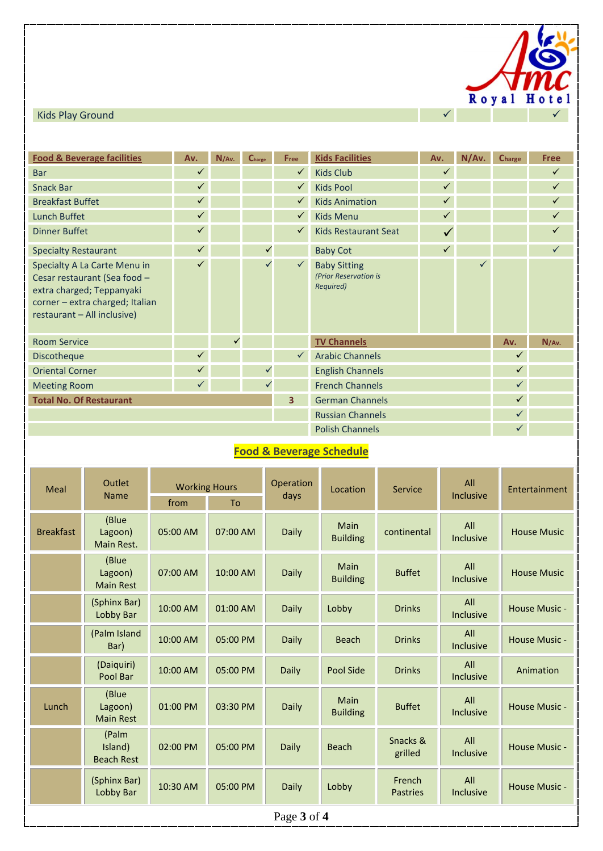

| <b>Food &amp; Beverage facilities</b>                                                                                                                       | Av.          | N/Av. | Charge       | Free         | <b>Kids Facilities</b>                                    | Av.          | N/Av.        | Charge       | <b>Free</b>  |
|-------------------------------------------------------------------------------------------------------------------------------------------------------------|--------------|-------|--------------|--------------|-----------------------------------------------------------|--------------|--------------|--------------|--------------|
| <b>Bar</b>                                                                                                                                                  |              |       |              | $\checkmark$ | <b>Kids Club</b>                                          |              |              |              | $\checkmark$ |
| <b>Snack Bar</b>                                                                                                                                            |              |       |              |              | <b>Kids Pool</b>                                          |              |              |              | $\checkmark$ |
| <b>Breakfast Buffet</b>                                                                                                                                     |              |       |              |              | <b>Kids Animation</b>                                     |              |              |              | $\checkmark$ |
| Lunch Buffet                                                                                                                                                |              |       |              |              | <b>Kids Menu</b>                                          |              |              |              | $\checkmark$ |
| <b>Dinner Buffet</b>                                                                                                                                        |              |       |              |              | <b>Kids Restaurant Seat</b>                               |              |              |              | $\checkmark$ |
| <b>Specialty Restaurant</b>                                                                                                                                 | $\checkmark$ |       | ✓            |              | <b>Baby Cot</b>                                           | $\checkmark$ |              |              | $\checkmark$ |
| Specialty A La Carte Menu in<br>Cesar restaurant (Sea food -<br>extra charged; Teppanyaki<br>corner - extra charged; Italian<br>restaurant - All inclusive) | ✓            |       | $\checkmark$ |              | <b>Baby Sitting</b><br>(Prior Reservation is<br>Required) |              | $\checkmark$ |              |              |
| <b>Room Service</b>                                                                                                                                         |              | ✓     |              |              | <b>TV Channels</b>                                        |              |              | Av.          | N/Av.        |
| Discotheque                                                                                                                                                 | ✓            |       |              | $\checkmark$ | <b>Arabic Channels</b>                                    |              |              | $\checkmark$ |              |
| <b>Oriental Corner</b>                                                                                                                                      |              |       |              |              | <b>English Channels</b>                                   |              |              | $\checkmark$ |              |
| <b>Meeting Room</b>                                                                                                                                         |              |       |              |              | <b>French Channels</b>                                    |              |              | $\checkmark$ |              |
| <b>Total No. Of Restaurant</b>                                                                                                                              |              |       |              | 3            | <b>German Channels</b>                                    |              |              | $\checkmark$ |              |
|                                                                                                                                                             |              |       |              |              | <b>Russian Channels</b>                                   |              |              | $\checkmark$ |              |
|                                                                                                                                                             |              |       |              |              | <b>Polish Channels</b>                                    |              |              | $\checkmark$ |              |

## **Food & Beverage Schedule**

| Meal             | Outlet<br><b>Name</b>                 | <b>Working Hours</b> |          | Operation<br>days | Location                       | Service                   | All<br><b>Inclusive</b> | Entertainment      |  |  |  |
|------------------|---------------------------------------|----------------------|----------|-------------------|--------------------------------|---------------------------|-------------------------|--------------------|--|--|--|
|                  |                                       | from<br>To           |          |                   |                                |                           |                         |                    |  |  |  |
| <b>Breakfast</b> | (Blue<br>Lagoon)<br>Main Rest.        | 05:00 AM             | 07:00 AM | Daily             | <b>Main</b><br><b>Building</b> | continental               | All<br><b>Inclusive</b> | <b>House Music</b> |  |  |  |
|                  | (Blue<br>Lagoon)<br><b>Main Rest</b>  | 07:00 AM             | 10:00 AM | Daily             | <b>Main</b><br><b>Building</b> | <b>Buffet</b>             | All<br><b>Inclusive</b> | <b>House Music</b> |  |  |  |
|                  | (Sphinx Bar)<br><b>Lobby Bar</b>      | 10:00 AM             | 01:00 AM | Daily             | Lobby                          | <b>Drinks</b>             | All<br><b>Inclusive</b> | House Music -      |  |  |  |
|                  | (Palm Island<br>Bar)                  | 10:00 AM             | 05:00 PM | Daily             | <b>Beach</b>                   | <b>Drinks</b>             | All<br><b>Inclusive</b> | House Music -      |  |  |  |
|                  | (Daiquiri)<br>Pool Bar                | 10:00 AM             | 05:00 PM | Daily             | <b>Pool Side</b>               | <b>Drinks</b>             | All<br><b>Inclusive</b> | Animation          |  |  |  |
| Lunch            | (Blue<br>Lagoon)<br><b>Main Rest</b>  | 01:00 PM             | 03:30 PM | Daily             | <b>Main</b><br><b>Building</b> | <b>Buffet</b>             | All<br>Inclusive        | House Music -      |  |  |  |
|                  | (Palm<br>Island)<br><b>Beach Rest</b> | 02:00 PM             | 05:00 PM | Daily             | <b>Beach</b>                   | Snacks &<br>grilled       | All<br><b>Inclusive</b> | House Music -      |  |  |  |
|                  | (Sphinx Bar)<br>Lobby Bar             | 10:30 AM             | 05:00 PM | Daily             | Lobby                          | French<br><b>Pastries</b> | All<br><b>Inclusive</b> | House Music -      |  |  |  |
| Page 3 of 4      |                                       |                      |          |                   |                                |                           |                         |                    |  |  |  |